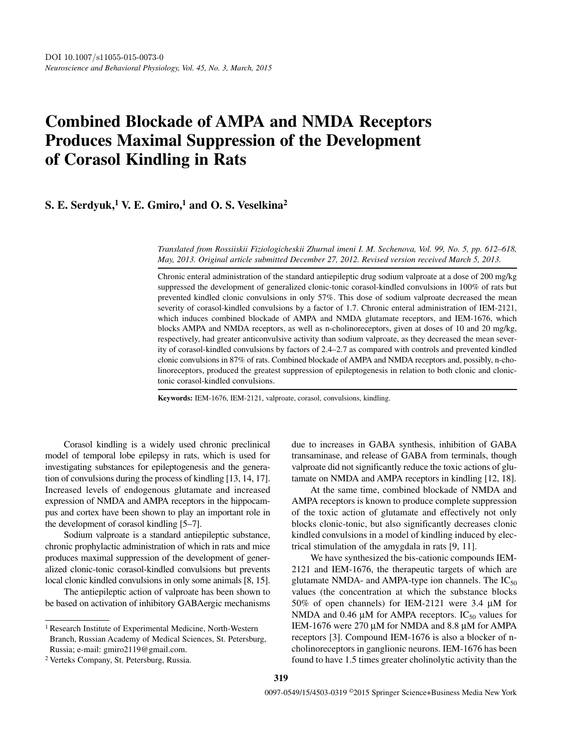# **Combined Blockade of AMPA and NMDA Receptors Produces Maximal Suppression of the Development of Corasol Kindling in Rats**

## **S. E. Serdyuk,1 V. E. Gmiro,1 and O. S. Veselkina2**

*Translated from Rossiiskii Fiziologicheskii Zhurnal imeni I. M. Sechenova, Vol. 99, No. 5, pp. 612–618, May, 2013. Original article submitted December 27, 2012. Revised version received March 5, 2013.*

Chronic enteral administration of the standard antiepileptic drug sodium valproate at a dose of 200 mg/kg suppressed the development of generalized clonic-tonic corasol-kindled convulsions in 100% of rats but prevented kindled clonic convulsions in only 57%. This dose of sodium valproate decreased the mean severity of corasol-kindled convulsions by a factor of 1.7. Chronic enteral administration of IEM-2121, which induces combined blockade of AMPA and NMDA glutamate receptors, and IEM-1676, which blocks AMPA and NMDA receptors, as well as n-cholinoreceptors, given at doses of 10 and 20 mg/kg, respectively, had greater anticonvulsive activity than sodium valproate, as they decreased the mean severity of corasol-kindled convulsions by factors of 2.4–2.7 as compared with controls and prevented kindled clonic convulsions in 87% of rats. Combined blockade of AMPA and NMDA receptors and, possibly, n-cholinoreceptors, produced the greatest suppression of epileptogenesis in relation to both clonic and clonictonic corasol-kindled convulsions.

**Keywords:** IEM-1676, IEM-2121, valproate, corasol, convulsions, kindling.

Corasol kindling is a widely used chronic preclinical model of temporal lobe epilepsy in rats, which is used for investigating substances for epileptogenesis and the generation of convulsions during the process of kindling [13, 14, 17]. Increased levels of endogenous glutamate and increased expression of NMDA and AMPA receptors in the hippocampus and cortex have been shown to play an important role in the development of corasol kindling [5–7].

Sodium valproate is a standard antiepileptic substance, chronic prophylactic administration of which in rats and mice produces maximal suppression of the development of generalized clonic-tonic corasol-kindled convulsions but prevents local clonic kindled convulsions in only some animals [8, 15].

The antiepileptic action of valproate has been shown to be based on activation of inhibitory GABAergic mechanisms due to increases in GABA synthesis, inhibition of GABA transaminase, and release of GABA from terminals, though valproate did not significantly reduce the toxic actions of glutamate on NMDA and AMPA receptors in kindling [12, 18].

At the same time, combined blockade of NMDA and AMPA receptors is known to produce complete suppression of the toxic action of glutamate and effectively not only blocks clonic-tonic, but also significantly decreases clonic kindled convulsions in a model of kindling induced by electrical stimulation of the amygdala in rats [9, 11].

We have synthesized the bis-cationic compounds IEM-2121 and IEM-1676, the therapeutic targets of which are glutamate NMDA- and AMPA-type ion channels. The  $IC_{50}$ values (the concentration at which the substance blocks 50% of open channels) for IEM-2121 were 3.4 μM for NMDA and 0.46  $\mu$ M for AMPA receptors. IC<sub>50</sub> values for IEM-1676 were 270 μM for NMDA and 8.8 μM for AMPA receptors [3]. Compound IEM-1676 is also a blocker of ncholinoreceptors in ganglionic neurons. IEM-1676 has been found to have 1.5 times greater cholinolytic activity than the

<sup>&</sup>lt;sup>1</sup> Research Institute of Experimental Medicine, North-Western Branch, Russian Academy of Medical Sciences, St. Petersburg, Russia; e-mail: gmiro2119@gmail.com.

<sup>2</sup> Verteks Company, St. Petersburg, Russia.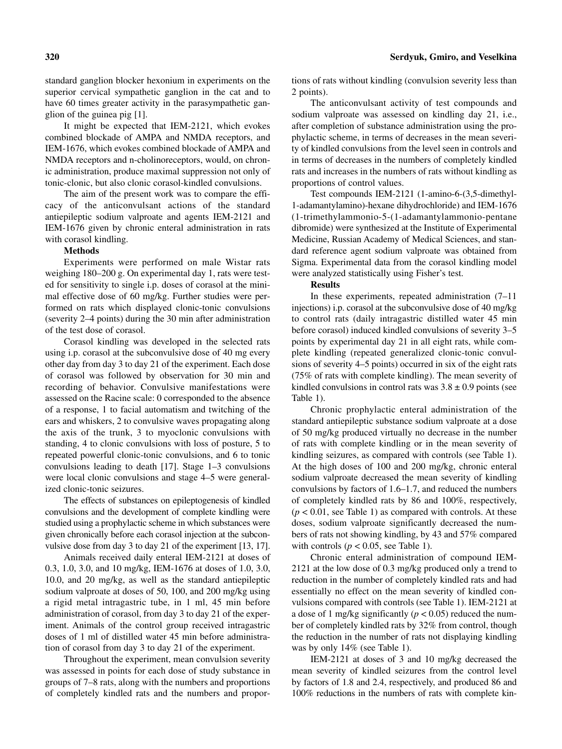standard ganglion blocker hexonium in experiments on the superior cervical sympathetic ganglion in the cat and to have 60 times greater activity in the parasympathetic ganglion of the guinea pig [1].

It might be expected that IEM-2121, which evokes combined blockade of AMPA and NMDA receptors, and IEM-1676, which evokes combined blockade of AMPA and NMDA receptors and n-cholinoreceptors, would, on chronic administration, produce maximal suppression not only of tonic-clonic, but also clonic corasol-kindled convulsions.

The aim of the present work was to compare the efficacy of the anticonvulsant actions of the standard antiepileptic sodium valproate and agents IEM-2121 and IEM-1676 given by chronic enteral administration in rats with corasol kindling.

## **Methods**

Experiments were performed on male Wistar rats weighing 180–200 g. On experimental day 1, rats were tested for sensitivity to single i.p. doses of corasol at the minimal effective dose of 60 mg/kg. Further studies were performed on rats which displayed clonic-tonic convulsions (severity 2–4 points) during the 30 min after administration of the test dose of corasol.

Corasol kindling was developed in the selected rats using i.p. corasol at the subconvulsive dose of 40 mg every other day from day 3 to day 21 of the experiment. Each dose of corasol was followed by observation for 30 min and recording of behavior. Convulsive manifestations were assessed on the Racine scale: 0 corresponded to the absence of a response, 1 to facial automatism and twitching of the ears and whiskers, 2 to convulsive waves propagating along the axis of the trunk, 3 to myoclonic convulsions with standing, 4 to clonic convulsions with loss of posture, 5 to repeated powerful clonic-tonic convulsions, and 6 to tonic convulsions leading to death [17]. Stage 1–3 convulsions were local clonic convulsions and stage 4–5 were generalized clonic-tonic seizures.

The effects of substances on epileptogenesis of kindled convulsions and the development of complete kindling were studied using a prophylactic scheme in which substances were given chronically before each corasol injection at the subconvulsive dose from day 3 to day 21 of the experiment [13, 17].

Animals received daily enteral IEM-2121 at doses of 0.3, 1.0, 3.0, and 10 mg/kg, IEM-1676 at doses of 1.0, 3.0, 10.0, and 20 mg/kg, as well as the standard antiepileptic sodium valproate at doses of 50, 100, and 200 mg/kg using a rigid metal intragastric tube, in 1 ml, 45 min before administration of corasol, from day 3 to day 21 of the experiment. Animals of the control group received intragastric doses of 1 ml of distilled water 45 min before administration of corasol from day 3 to day 21 of the experiment.

Throughout the experiment, mean convulsion severity was assessed in points for each dose of study substance in groups of 7–8 rats, along with the numbers and proportions of completely kindled rats and the numbers and proportions of rats without kindling (convulsion severity less than 2 points).

The anticonvulsant activity of test compounds and sodium valproate was assessed on kindling day 21, i.e., after completion of substance administration using the prophylactic scheme, in terms of decreases in the mean severity of kindled convulsions from the level seen in controls and in terms of decreases in the numbers of completely kindled rats and increases in the numbers of rats without kindling as proportions of control values.

Test compounds IEM-2121 (1-amino-6-(3,5-dimethyl-1-adamantylamino)-hexane dihydrochloride) and IEM-1676 (1-trimethylammonio-5-(1-adamantylammonio-pentane dibromide) were synthesized at the Institute of Experimental Medicine, Russian Academy of Medical Sciences, and standard reference agent sodium valproate was obtained from Sigma. Experimental data from the corasol kindling model were analyzed statistically using Fisher's test.

#### **Results**

In these experiments, repeated administration (7–11 injections) i.p. corasol at the subconvulsive dose of 40 mg/kg to control rats (daily intragastric distilled water 45 min before corasol) induced kindled convulsions of severity 3–5 points by experimental day 21 in all eight rats, while complete kindling (repeated generalized clonic-tonic convulsions of severity 4–5 points) occurred in six of the eight rats (75% of rats with complete kindling). The mean severity of kindled convulsions in control rats was  $3.8 \pm 0.9$  points (see Table 1).

Chronic prophylactic enteral administration of the standard antiepileptic substance sodium valproate at a dose of 50 mg/kg produced virtually no decrease in the number of rats with complete kindling or in the mean severity of kindling seizures, as compared with controls (see Table 1). At the high doses of 100 and 200 mg/kg, chronic enteral sodium valproate decreased the mean severity of kindling convulsions by factors of 1.6–1.7, and reduced the numbers of completely kindled rats by 86 and 100%, respectively,  $(p < 0.01$ , see Table 1) as compared with controls. At these doses, sodium valproate significantly decreased the numbers of rats not showing kindling, by 43 and 57% compared with controls ( $p < 0.05$ , see Table 1).

Chronic enteral administration of compound IEM-2121 at the low dose of 0.3 mg/kg produced only a trend to reduction in the number of completely kindled rats and had essentially no effect on the mean severity of kindled convulsions compared with controls (see Table 1). IEM-2121 at a dose of 1 mg/kg significantly  $(p < 0.05)$  reduced the number of completely kindled rats by 32% from control, though the reduction in the number of rats not displaying kindling was by only 14% (see Table 1).

IEM-2121 at doses of 3 and 10 mg/kg decreased the mean severity of kindled seizures from the control level by factors of 1.8 and 2.4, respectively, and produced 86 and 100% reductions in the numbers of rats with complete kin-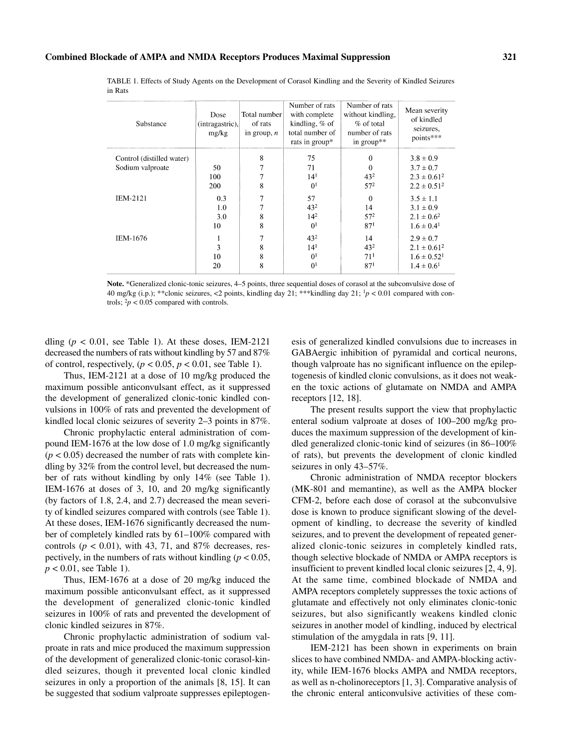|         |  |  |  |  |  | TABLE 1. Effects of Study Agents on the Development of Corasol Kindling and the Severity of Kindled Seizures |  |
|---------|--|--|--|--|--|--------------------------------------------------------------------------------------------------------------|--|
| in Rats |  |  |  |  |  |                                                                                                              |  |

| Substance                 | Dose<br>(intragastric),<br>mg/kg | Total number<br>of rats<br>in group, $n$ | Number of rats<br>with complete<br>kindling, $%$ of<br>total number of<br>rats in group* | Number of rats<br>without kindling,<br>$%$ of total<br>number of rats<br>in group** | Mean severity<br>of kindled<br>seizures,<br>points*** |
|---------------------------|----------------------------------|------------------------------------------|------------------------------------------------------------------------------------------|-------------------------------------------------------------------------------------|-------------------------------------------------------|
| Control (distilled water) |                                  | 8                                        | 75                                                                                       | $\theta$                                                                            | $3.8 \pm 0.9$                                         |
| Sodium valproate          | 50                               | 7                                        | 71                                                                                       | $\Omega$                                                                            | $3.7 \pm 0.7$                                         |
|                           | 100                              | 7                                        | 14 <sup>1</sup>                                                                          | $43^{2}$                                                                            | $2.3 \pm 0.61^2$                                      |
|                           | 200                              | 8                                        | 0 <sup>1</sup>                                                                           | $57^{2}$                                                                            | $2.2 \pm 0.51^2$                                      |
| <b>IEM-2121</b>           | 0.3                              | 7                                        | 57                                                                                       | $\mathbf{0}$                                                                        | $3.5 \pm 1.1$                                         |
|                           | 1.0                              | 7                                        | 43 <sup>2</sup>                                                                          | 14                                                                                  | $3.1 \pm 0.9$                                         |
|                           | 3.0                              | 8                                        | $14^{2}$                                                                                 | $57^{2}$                                                                            | $2.1 \pm 0.6^2$                                       |
|                           | 10                               | 8                                        | 0 <sup>1</sup>                                                                           | 87 <sup>1</sup>                                                                     | $1.6 \pm 0.4$ <sup>1</sup>                            |
| <b>IEM-1676</b>           |                                  | 7                                        | $43^{2}$                                                                                 | 14                                                                                  | $2.9 \pm 0.7$                                         |
|                           | 3                                | 8                                        | 14 <sup>1</sup>                                                                          | $43^{2}$                                                                            | $2.1 \pm 0.61^2$                                      |
|                           | 10                               | 8                                        | 0 <sup>1</sup>                                                                           | 71 <sup>1</sup>                                                                     | $1.6 \pm 0.52$ <sup>1</sup>                           |
|                           | 20                               | 8                                        | 0 <sup>1</sup>                                                                           | 87 <sup>1</sup>                                                                     | $1.4 \pm 0.6^1$                                       |
|                           |                                  |                                          |                                                                                          |                                                                                     |                                                       |

Note. \*Generalized clonic-tonic seizures, 4–5 points, three sequential doses of corasol at the subconvulsive dose of 40 mg/kg (i.p.); \*\*clonic seizures, <2 points, kindling day 21; \*\*\*kindling day 21; 1*p* < 0.01 compared with controls;  $\frac{2p}{6}$  < 0.05 compared with controls.

dling  $(p < 0.01$ , see Table 1). At these doses, IEM-2121 decreased the numbers of rats without kindling by 57 and 87% of control, respectively,  $(p < 0.05, p < 0.01$ , see Table 1).

Thus, IEM-2121 at a dose of 10 mg/kg produced the maximum possible anticonvulsant effect, as it suppressed the development of generalized clonic-tonic kindled convulsions in 100% of rats and prevented the development of kindled local clonic seizures of severity 2–3 points in 87%.

Chronic prophylactic enteral administration of compound IEM-1676 at the low dose of 1.0 mg/kg significantly  $(p < 0.05)$  decreased the number of rats with complete kindling by 32% from the control level, but decreased the number of rats without kindling by only 14% (see Table 1). IEM-1676 at doses of 3, 10, and 20 mg/kg significantly (by factors of 1.8, 2.4, and 2.7) decreased the mean severity of kindled seizures compared with controls (see Table 1). At these doses, IEM-1676 significantly decreased the number of completely kindled rats by 61–100% compared with controls ( $p < 0.01$ ), with 43, 71, and 87% decreases, respectively, in the numbers of rats without kindling ( $p < 0.05$ , *p* < 0.01, see Table 1).

Thus, IEM-1676 at a dose of 20 mg/kg induced the maximum possible anticonvulsant effect, as it suppressed the development of generalized clonic-tonic kindled seizures in 100% of rats and prevented the development of clonic kindled seizures in 87%.

Chronic prophylactic administration of sodium valproate in rats and mice produced the maximum suppression of the development of generalized clonic-tonic corasol-kindled seizures, though it prevented local clonic kindled seizures in only a proportion of the animals [8, 15]. It can be suggested that sodium valproate suppresses epileptogenesis of generalized kindled convulsions due to increases in GABAergic inhibition of pyramidal and cortical neurons, though valproate has no significant influence on the epileptogenesis of kindled clonic convulsions, as it does not weaken the toxic actions of glutamate on NMDA and AMPA receptors [12, 18].

The present results support the view that prophylactic enteral sodium valproate at doses of 100–200 mg/kg produces the maximum suppression of the development of kindled generalized clonic-tonic kind of seizures (in 86–100% of rats), but prevents the development of clonic kindled seizures in only 43–57%.

Chronic administration of NMDA receptor blockers (MK-801 and memantine), as well as the AMPA blocker CFM-2, before each dose of corasol at the subconvulsive dose is known to produce significant slowing of the development of kindling, to decrease the severity of kindled seizures, and to prevent the development of repeated generalized clonic-tonic seizures in completely kindled rats, though selective blockade of NMDA or AMPA receptors is insufficient to prevent kindled local clonic seizures [2, 4, 9]. At the same time, combined blockade of NMDA and AMPA receptors completely suppresses the toxic actions of glutamate and effectively not only eliminates clonic-tonic seizures, but also significantly weakens kindled clonic seizures in another model of kindling, induced by electrical stimulation of the amygdala in rats [9, 11].

IEM-2121 has been shown in experiments on brain slices to have combined NMDA- and AMPA-blocking activity, while IEM-1676 blocks AMPA and NMDA receptors, as well as n-cholinoreceptors [1, 3]. Comparative analysis of the chronic enteral anticonvulsive activities of these com-